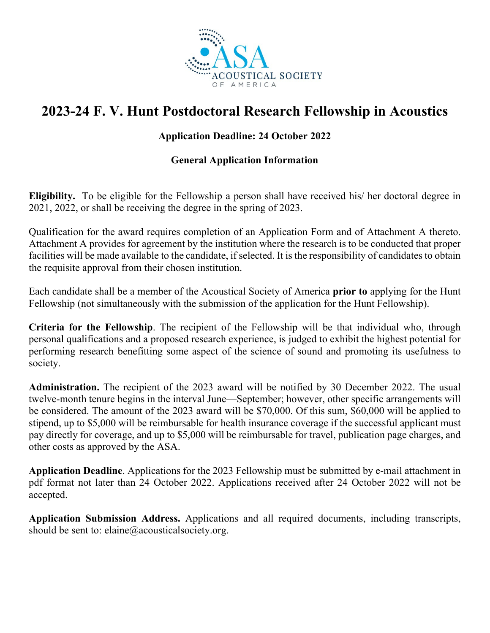

# **2023-24 F. V. Hunt Postdoctoral Research Fellowship in Acoustics**

# **Application Deadline: 24 October 2022**

# **General Application Information**

**Eligibility.** To be eligible for the Fellowship a person shall have received his/ her doctoral degree in 2021, 2022, or shall be receiving the degree in the spring of 2023.

Qualification for the award requires completion of an Application Form and of Attachment A thereto. Attachment A provides for agreement by the institution where the research is to be conducted that proper facilities will be made available to the candidate, if selected. It is the responsibility of candidates to obtain the requisite approval from their chosen institution.

Each candidate shall be a member of the Acoustical Society of America **prior to** applying for the Hunt Fellowship (not simultaneously with the submission of the application for the Hunt Fellowship).

**Criteria for the Fellowship**. The recipient of the Fellowship will be that individual who, through personal qualifications and a proposed research experience, is judged to exhibit the highest potential for performing research benefitting some aspect of the science of sound and promoting its usefulness to society.

**Administration.** The recipient of the 2023 award will be notified by 30 December 2022. The usual twelve-month tenure begins in the interval June—September; however, other specific arrangements will be considered. The amount of the 2023 award will be \$70,000. Of this sum, \$60,000 will be applied to stipend, up to \$5,000 will be reimbursable for health insurance coverage if the successful applicant must pay directly for coverage, and up to \$5,000 will be reimbursable for travel, publication page charges, and other costs as approved by the ASA.

**Application Deadline**. Applications for the 2023 Fellowship must be submitted by e-mail attachment in pdf format not later than 24 October 2022. Applications received after 24 October 2022 will not be accepted.

**Application Submission Address.** Applications and all required documents, including transcripts, should be sent to: elaine@acousticalsociety.org.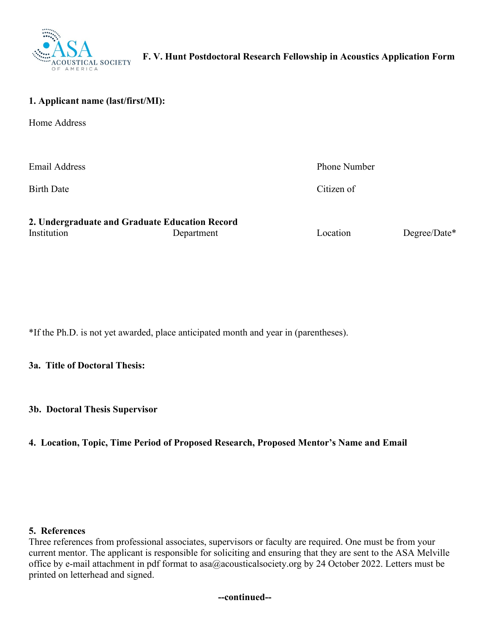

#### **1. Applicant name (last/first/MI):**

Home Address

Email Address **Phone Number** 

Birth Date Citizen of

|             | 2. Undergraduate and Graduate Education Record |          |              |
|-------------|------------------------------------------------|----------|--------------|
| Institution | Department                                     | Location | Degree/Date* |

\*If the Ph.D. is not yet awarded, place anticipated month and year in (parentheses).

#### **3a. Title of Doctoral Thesis:**

**3b. Doctoral Thesis Supervisor** 

## **4. Location, Topic, Time Period of Proposed Research, Proposed Mentor's Name and Email**

#### **5. References**

Three references from professional associates, supervisors or faculty are required. One must be from your current mentor. The applicant is responsible for soliciting and ensuring that they are sent to the ASA Melville office by e-mail attachment in pdf format to asa@acousticalsociety.org by 24 October 2022. Letters must be printed on letterhead and signed.

**--continued--**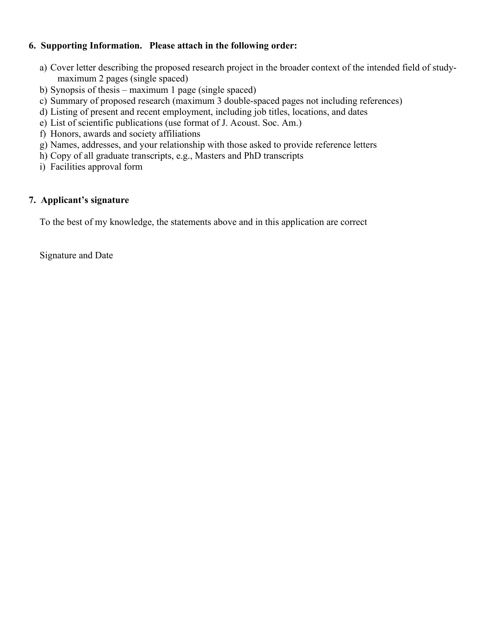## **6. Supporting Information. Please attach in the following order:**

- a) Cover letter describing the proposed research project in the broader context of the intended field of studymaximum 2 pages (single spaced)
- b) Synopsis of thesis maximum 1 page (single spaced)
- c) Summary of proposed research (maximum 3 double-spaced pages not including references)
- d) Listing of present and recent employment, including job titles, locations, and dates
- e) List of scientific publications (use format of J. Acoust. Soc. Am.)
- f) Honors, awards and society affiliations
- g) Names, addresses, and your relationship with those asked to provide reference letters
- h) Copy of all graduate transcripts, e.g., Masters and PhD transcripts
- i) Facilities approval form

# **7. Applicant's signature**

To the best of my knowledge, the statements above and in this application are correct

Signature and Date